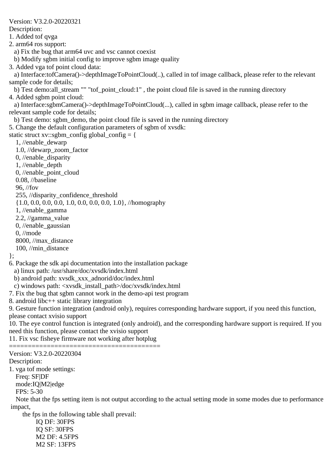Description: 1. Added tof qvga 2. arm64 ros support: a) Fix the bug that arm64 uvc and vsc cannot coexist b) Modify sgbm initial config to improve sgbm image quality 3. Added vga tof point cloud data: a) Interface:tofCamera()->depthImageToPointCloud(..), called in tof image callback, please refer to the relevant sample code for details; b) Test demo:all\_stream "" "tof\_point\_cloud:1" , the point cloud file is saved in the running directory 4. Added sgbm point cloud: a) Interface:sgbmCamera()->depthImageToPointCloud(...), called in sgbm image callback, please refer to the relevant sample code for details; b) Test demo: sgbm\_demo, the point cloud file is saved in the running directory 5. Change the default configuration parameters of sgbm of xvsdk: static struct xv::sgbm\_config global\_config = { 1, //enable\_dewarp 1.0, //dewarp\_zoom\_factor 0, //enable\_disparity 1, //enable\_depth 0, //enable\_point\_cloud 0.08, //baseline 96, //fov 255, //disparity\_confidence\_threshold {1.0, 0.0, 0.0, 0.0, 1.0, 0.0, 0.0, 0.0, 1.0}, //homography 1, //enable\_gamma 2.2, //gamma\_value 0, //enable\_gaussian 0, //mode 8000, //max\_distance 100, //min\_distance }; 6. Package the sdk api documentation into the installation package a) linux path: /usr/share/doc/xvsdk/index.html b) android path: xvsdk\_xxx\_adnorid/doc/index.html c) windows path: <xvsdk\_install\_path>/doc/xvsdk/index.html 7. Fix the bug that sgbm cannot work in the demo-api test program 8. android libc++ static library integration 9. Gesture function integration (android only), requires corresponding hardware support, if you need this function, please contact xvisio support 10. The eye control function is integrated (only android), and the corresponding hardware support is required. If you need this function, please contact the xvisio support 11. Fix vsc fisheye firmware not working after hotplug ======================================== Version: V3.2.0-20220304 Description: 1. vga tof mode settings: Freq: SF|DF mode:IQ|M2|edge FPS: 5-30 Note that the fps setting item is not output according to the actual setting mode in some modes due to performance impact, the fps in the following table shall prevail: IQ DF: 30FPS IQ SF: 30FPS M2 DF: 4.5FPS

Version: V3.2.0-20220321

M2 SF: 13FPS